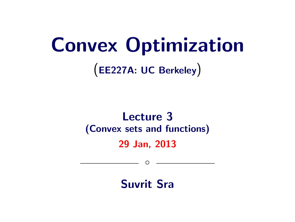# Convex Optimization

(EE227A: UC Berkeley)

### Lecture 3 (Convex sets and functions)

#### 29 Jan, 2013

◦

Suvrit Sra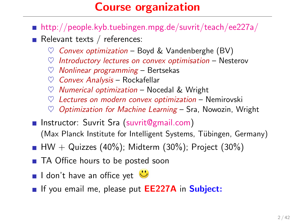#### Course organization

- <http://people.kyb.tuebingen.mpg.de/suvrit/teach/ee227a/>
- Relevant texts / references:
	- Convex optimization Boyd & Vandenberghe (BV)
	- Introductory lectures on convex optimisation  $-$  Nesterov
	- $Nonlinear programming Bertsekas$
	- $\heartsuit$  Convex Analysis Rockafellar
	- $\heartsuit$  Numerical optimization Nocedal & Wright
	- $\heartsuit$  Lectures on modern convex optimization Nemirovski
	- Optimization for Machine Learning  $-$  Sra, Nowozin, Wright
- Instructor: Suvrit Sra [\(suvrit@gmail.com\)](mailto:suvrit@gmail.com) (Max Planck Institute for Intelligent Systems, Tübingen, Germany)
- HW + Quizzes (40%); Midterm (30%); Project (30%)
- TA Office hours to be posted soon
- I don't have an office yet  $\ddot{\mathbf{C}}$
- **If** you email me, please put **EE227A** in **Subject:**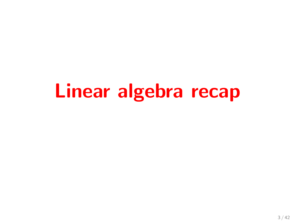## Linear algebra recap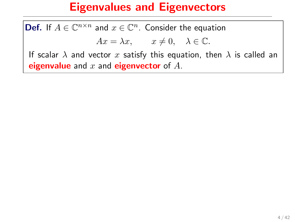**Def.** If  $A \in \mathbb{C}^{n \times n}$  and  $x \in \mathbb{C}^n$ . Consider the equation

 $Ax = \lambda x$ ,  $x \neq 0$ ,  $\lambda \in \mathbb{C}$ .

If scalar  $\lambda$  and vector x satisfy this equation, then  $\lambda$  is called an eigenvalue and  $x$  and eigenvector of  $A$ .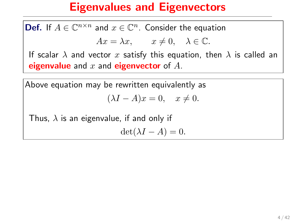**Def.** If  $A \in \mathbb{C}^{n \times n}$  and  $x \in \mathbb{C}^n$ . Consider the equation

 $Ax = \lambda x$ ,  $x \neq 0$ ,  $\lambda \in \mathbb{C}$ .

If scalar  $\lambda$  and vector x satisfy this equation, then  $\lambda$  is called an eigenvalue and  $x$  and eigenvector of  $A$ .

Above equation may be rewritten equivalently as

$$
(\lambda I - A)x = 0, \quad x \neq 0.
$$

Thus,  $\lambda$  is an eigenvalue, if and only if

$$
\det(\lambda I - A) = 0.
$$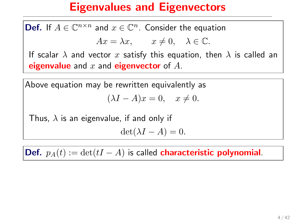**Def.** If  $A \in \mathbb{C}^{n \times n}$  and  $x \in \mathbb{C}^n$ . Consider the equation

 $Ax = \lambda x$ ,  $x \neq 0$ ,  $\lambda \in \mathbb{C}$ .

If scalar  $\lambda$  and vector x satisfy this equation, then  $\lambda$  is called an eigenvalue and  $x$  and eigenvector of  $A$ .

Above equation may be rewritten equivalently as

$$
(\lambda I - A)x = 0, \quad x \neq 0.
$$

Thus,  $\lambda$  is an eigenvalue, if and only if

$$
\det(\lambda I - A) = 0.
$$

Def.  $p_A(t) := \det(tI - A)$  is called characteristic polynomial.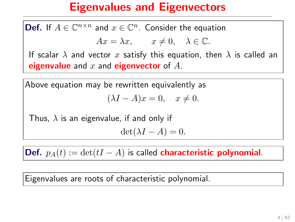**Def.** If  $A \in \mathbb{C}^{n \times n}$  and  $x \in \mathbb{C}^n$ . Consider the equation

 $Ax = \lambda x$ ,  $x \neq 0$ ,  $\lambda \in \mathbb{C}$ .

If scalar  $\lambda$  and vector x satisfy this equation, then  $\lambda$  is called an eigenvalue and  $x$  and eigenvector of  $A$ .

Above equation may be rewritten equivalently as

$$
(\lambda I - A)x = 0, \quad x \neq 0.
$$

Thus,  $\lambda$  is an eigenvalue, if and only if

$$
\det(\lambda I - A) = 0.
$$

Def.  $p_A(t) := \det(tI - A)$  is called characteristic polynomial.

Eigenvalues are roots of characteristic polynomial.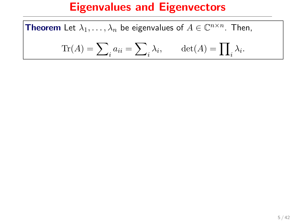**Theorem** Let  $\lambda_1, \ldots, \lambda_n$  be eigenvalues of  $A \in \mathbb{C}^{n \times n}$ . Then,

$$
\text{Tr}(A) = \sum_{i} a_{ii} = \sum_{i} \lambda_i, \qquad \det(A) = \prod_{i} \lambda_i.
$$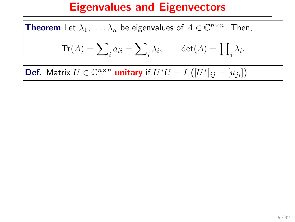**Theorem** Let  $\lambda_1, \ldots, \lambda_n$  be eigenvalues of  $A \in \mathbb{C}^{n \times n}$ . Then,

$$
\text{Tr}(A) = \sum_{i} a_{ii} = \sum_{i} \lambda_i, \qquad \det(A) = \prod_{i} \lambda_i.
$$

**Def.** Matrix  $U \in \mathbb{C}^{n \times n}$  unitary if  $U^*U = I$   $([U^*]_{ij} = [\bar{u}_{ji}])$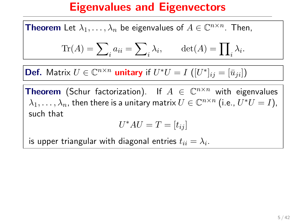**Theorem** Let  $\lambda_1, \ldots, \lambda_n$  be eigenvalues of  $A \in \mathbb{C}^{n \times n}$ . Then,

$$
\text{Tr}(A) = \sum_{i} a_{ii} = \sum_{i} \lambda_i, \qquad \det(A) = \prod_{i} \lambda_i.
$$

**Def.** Matrix  $U \in \mathbb{C}^{n \times n}$  unitary if  $U^*U = I$   $([U^*]_{ij} = [\bar{u}_{ji}])$ 

**Theorem** (Schur factorization). If  $A \in \mathbb{C}^{n \times n}$  with eigenvalues  $\lambda_1, \ldots, \lambda_n$ , then there is a unitary matrix  $U \in \mathbb{C}^{n \times n}$  (i.e.,  $U^*U = I$ ), such that

$$
U^*AU = T = [t_{ij}]
$$

is upper triangular with diagonal entries  $t_{ii}=\lambda_i.$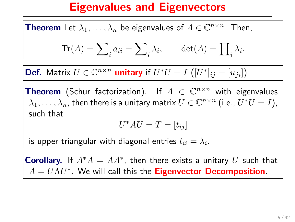**Theorem** Let  $\lambda_1, \ldots, \lambda_n$  be eigenvalues of  $A \in \mathbb{C}^{n \times n}$ . Then,

$$
\text{Tr}(A) = \sum_{i} a_{ii} = \sum_{i} \lambda_i, \qquad \det(A) = \prod_{i} \lambda_i.
$$

**Def.** Matrix  $U \in \mathbb{C}^{n \times n}$  unitary if  $U^*U = I$   $([U^*]_{ij} = [\bar{u}_{ji}])$ 

**Theorem** (Schur factorization). If  $A \in \mathbb{C}^{n \times n}$  with eigenvalues  $\lambda_1, \ldots, \lambda_n$ , then there is a unitary matrix  $U \in \mathbb{C}^{n \times n}$  (i.e.,  $U^*U = I$ ), such that

$$
U^*AU = T = [t_{ij}]
$$

is upper triangular with diagonal entries  $t_{ii}=\lambda_i.$ 

**Corollary.** If  $A^*A = AA^*$ , then there exists a unitary U such that  $A = U\Lambda U^*$ . We will call this the **Eigenvector Decomposition**.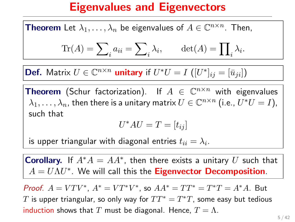**Theorem** Let  $\lambda_1, \ldots, \lambda_n$  be eigenvalues of  $A \in \mathbb{C}^{n \times n}$ . Then,

$$
\text{Tr}(A) = \sum_{i} a_{ii} = \sum_{i} \lambda_i, \qquad \det(A) = \prod_{i} \lambda_i.
$$

**Def.** Matrix  $U \in \mathbb{C}^{n \times n}$  unitary if  $U^*U = I$   $([U^*]_{ij} = [\bar{u}_{ji}])$ 

**Theorem** (Schur factorization). If  $A \in \mathbb{C}^{n \times n}$  with eigenvalues  $\lambda_1, \ldots, \lambda_n$ , then there is a unitary matrix  $U \in \mathbb{C}^{n \times n}$  (i.e.,  $U^*U = I$ ), such that

$$
U^*AU = T = [t_{ij}]
$$

is upper triangular with diagonal entries  $t_{ii}=\lambda_i.$ 

**Corollary.** If  $A^*A = AA^*$ , then there exists a unitary U such that  $A = U\Lambda U^*$ . We will call this the **Eigenvector Decomposition**.

*Proof.*  $A = VTV^*$ ,  $A^* = VT^*V^*$ , so  $AA^* = TT^* = T^*T = A^*A$ . But  $T$  is upper triangular, so only way for  $TT^*=T^*T$ , some easy but tedious induction shows that T must be diagonal. Hence,  $T = \Lambda$ .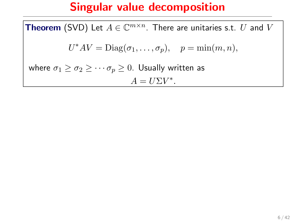#### Singular value decomposition

**Theorem** (SVD) Let  $A \in \mathbb{C}^{m \times n}$ . There are unitaries s.t. U and V  $U^*AV = \text{Diag}(\sigma_1, \ldots, \sigma_p), \quad p = \min(m, n),$ where  $\sigma_1 \geq \sigma_2 \geq \cdots \sigma_p \geq 0$ . Usually written as  $A = U\Sigma V^*$ .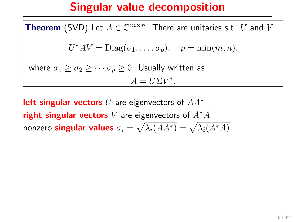#### Singular value decomposition

**Theorem** (SVD) Let  $A \in \mathbb{C}^{m \times n}$ . There are unitaries s.t. U and V  $U^*AV = \text{Diag}(\sigma_1, \ldots, \sigma_p), \quad p = \min(m, n),$ where  $\sigma_1 \geq \sigma_2 \geq \cdots \sigma_p \geq 0$ . Usually written as  $A = U\Sigma V^*$ .

**left singular vectors** U are eigenvectors of  $AA^*$ right singular vectors V are eigenvectors of  $A^*A$ nonzero singular values  $\sigma_i = \sqrt{\lambda_i(AA^*)} = \sqrt{\lambda_i(A^*A)}$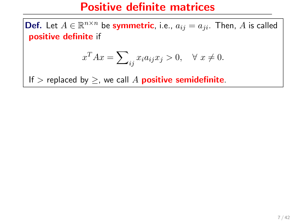**Def.** Let  $A \in \mathbb{R}^{n \times n}$  be symmetric, i.e.,  $a_{ij} = a_{ji}$ . Then, A is called positive definite if

$$
x^T A x = \sum_{ij} x_i a_{ij} x_j > 0, \quad \forall \ x \neq 0.
$$

If > replaced by  $\geq$ , we call A **positive semidefinite**.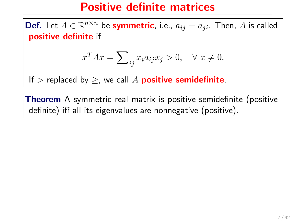**Def.** Let  $A \in \mathbb{R}^{n \times n}$  be symmetric, i.e.,  $a_{ij} = a_{ji}$ . Then, A is called positive definite if

$$
x^T A x = \sum_{ij} x_i a_{ij} x_j > 0, \quad \forall \ x \neq 0.
$$

If  $>$  replaced by  $>$ , we call A **positive semidefinite**.

**Theorem** A symmetric real matrix is positive semidefinite (positive definite) iff all its eigenvalues are nonnegative (positive).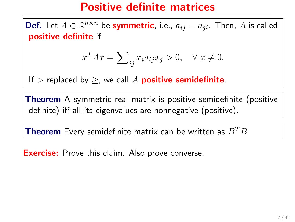**Def.** Let  $A \in \mathbb{R}^{n \times n}$  be symmetric, i.e.,  $a_{ij} = a_{ji}$ . Then, A is called positive definite if

$$
x^T A x = \sum_{ij} x_i a_{ij} x_j > 0, \quad \forall \ x \neq 0.
$$

If  $>$  replaced by  $>$ , we call A **positive semidefinite**.

Theorem A symmetric real matrix is positive semidefinite (positive definite) iff all its eigenvalues are nonnegative (positive).

**Theorem** Every semidefinite matrix can be written as  $B^T B$ 

**Exercise:** Prove this claim. Also prove converse.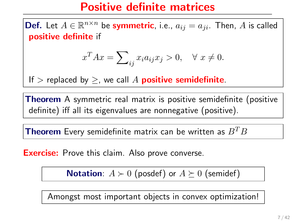**Def.** Let  $A \in \mathbb{R}^{n \times n}$  be symmetric, i.e.,  $a_{ij} = a_{ji}$ . Then, A is called positive definite if

$$
x^T A x = \sum_{ij} x_i a_{ij} x_j > 0, \quad \forall \ x \neq 0.
$$

If > replaced by  $\geq$ , we call A **positive semidefinite**.

Theorem A symmetric real matrix is positive semidefinite (positive definite) iff all its eigenvalues are nonnegative (positive).

**Theorem** Every semidefinite matrix can be written as  $B^T B$ 

**Exercise:** Prove this claim. Also prove converse.

**Notation**:  $A \succ 0$  (posdef) or  $A \succ 0$  (semidef)

Amongst most important objects in convex optimization!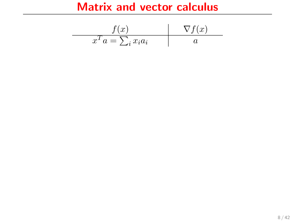$$
\begin{array}{c|c|c}\n & f(x) & \n\hline\n & x^T a = \sum_i x_i a_i & a\n\end{array}
$$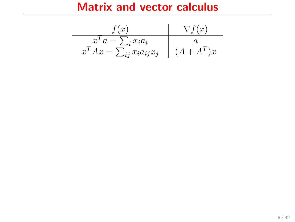| f(x)                                 | $\nabla f(x)$ |
|--------------------------------------|---------------|
| $x^T a = \sum_i x_i a_i$             |               |
| $x^T A x = \sum_{ij} x_i a_{ij} x_j$ | $(A + A^T)x$  |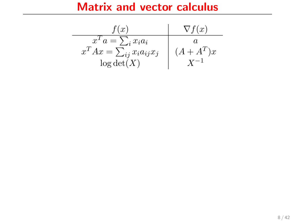| f(x)                                 | $\nabla f(x)$ |
|--------------------------------------|---------------|
| $x^T a = \sum_i x_i a_i$             |               |
| $x^T A x = \sum_{ij} x_i a_{ij} x_j$ | $(A+A^T)x$    |
| log det(X)                           |               |

×,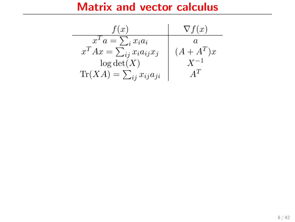| f(x)                                      | $\nabla f(x)$ |
|-------------------------------------------|---------------|
| $x^T a = \sum_i x_i a_i$                  |               |
| $x^T A x = \sum_{ij} x_i a_{ij} x_j$      | $(A + A^T)x$  |
| log det(X)                                | $X^{-1}$      |
| $\text{Tr}(XA) = \sum_{ij} x_{ij} a_{ji}$ | $\Lambda^T$   |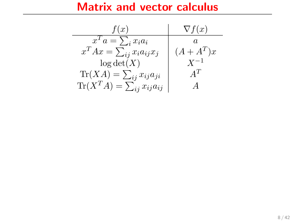| f(x)                                        | $\nabla f(x)$ |
|---------------------------------------------|---------------|
| $x^T a = \sum_i x_i a_i$                    |               |
| $x^T A x = \sum_{ij} x_i a_{ij} x_j$        | $(A + A^T)x$  |
| log det(X)                                  | $X^{-1}$      |
| $\text{Tr}(XA) = \sum_{ij} x_{ij} a_{ji}$   | $A^T$         |
| $\text{Tr}(X^TA) = \sum_{ij} x_{ij} a_{ij}$ |               |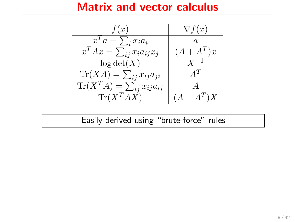| f(x)                                        | $\nabla f(x)$ |
|---------------------------------------------|---------------|
| $x^Ta = \sum_i x_i a_i$                     | a.            |
| $x^T A x = \sum_{ij} x_i a_{ij} x_j$        | $(A + A^T)x$  |
| log det(X)                                  | $X^{-1}$      |
| $\text{Tr}(XA) = \sum_{ij} x_{ij} a_{ji}$   | $A^T$         |
| $\text{Tr}(X^TA) = \sum_{ij} x_{ij} a_{ij}$ |               |
| $\text{Tr}(X^T A X)$                        | $(A+A^T)X$    |

Easily derived using "brute-force" rules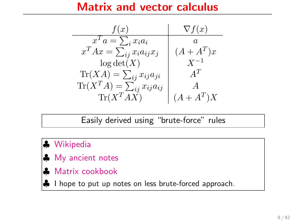| f(x)                                        | $\nabla f(x)$  |
|---------------------------------------------|----------------|
| $x^Ta = \sum_i x_i a_i$                     |                |
| $x^T A x = \sum_{ij} x_i a_{ij} x_j$        | $(A + A^T)x$   |
| log det(X)                                  | $X^{-1}$       |
| $\text{Tr}(XA) = \sum_{ij} x_{ij} a_{ji}$   | $A^T$          |
| $\text{Tr}(X^TA) = \sum_{ij} x_{ij} a_{ij}$ | $\overline{A}$ |
| $\text{Tr}(X^T A X)$                        | $(A + A^T)X$   |

Easily derived using "brute-force" rules

#### ♣ [Wikipedia](http://en.wikipedia.org/wiki/Matrix_calculus)

- **Ny ancient notes**
- ♣ [Matrix cookbook](http://orion.uwaterloo.ca/~hwolkowi/matrixcookbook.pdf)
- I hope to put up notes on less brute-forced approach.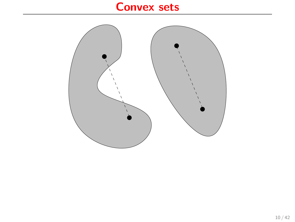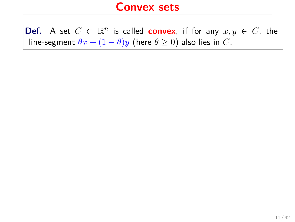**Def.** A set  $C \subset \mathbb{R}^n$  is called **convex**, if for any  $x, y \in C$ , the line-segment  $\theta x + (1 - \theta)y$  (here  $\theta \ge 0$ ) also lies in C.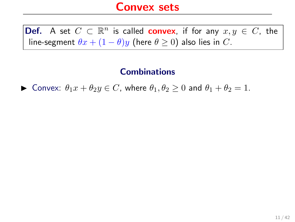**Def.** A set  $C \subset \mathbb{R}^n$  is called **convex**, if for any  $x, y \in C$ , the line-segment  $\theta x + (1 - \theta)y$  (here  $\theta \ge 0$ ) also lies in C.

#### **Combinations**

► Convex:  $\theta_1 x + \theta_2 y \in C$ , where  $\theta_1, \theta_2 \ge 0$  and  $\theta_1 + \theta_2 = 1$ .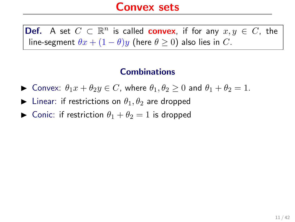**Def.** A set  $C \subset \mathbb{R}^n$  is called **convex**, if for any  $x, y \in C$ , the line-segment  $\theta x + (1 - \theta)y$  (here  $\theta \ge 0$ ) also lies in C.

#### **Combinations**

- ► Convex:  $\theta_1 x + \theta_2 y \in C$ , where  $\theta_1, \theta_2 > 0$  and  $\theta_1 + \theta_2 = 1$ .
- lacktriangleright Linear: if restrictions on  $\theta_1, \theta_2$  are dropped
- **In Conic:** if restriction  $\theta_1 + \theta_2 = 1$  is dropped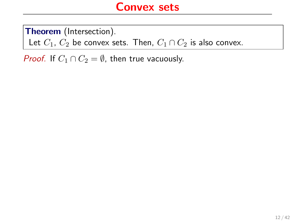Theorem (Intersection).

Let  $C_1$ ,  $C_2$  be convex sets. Then,  $C_1 \cap C_2$  is also convex.

*Proof.* If  $C_1 \cap C_2 = \emptyset$ , then true vacuously.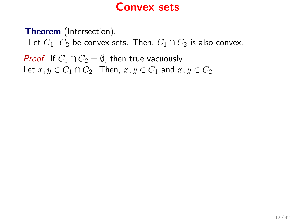Theorem (Intersection).

Let  $C_1$ ,  $C_2$  be convex sets. Then,  $C_1 \cap C_2$  is also convex.

*Proof.* If  $C_1 \cap C_2 = \emptyset$ , then true vacuously. Let  $x, y \in C_1 \cap C_2$ . Then,  $x, y \in C_1$  and  $x, y \in C_2$ .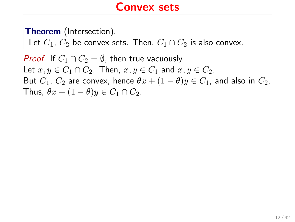Theorem (Intersection).

Let  $C_1$ ,  $C_2$  be convex sets. Then,  $C_1 \cap C_2$  is also convex.

*Proof.* If  $C_1 \cap C_2 = \emptyset$ , then true vacuously. Let  $x, y \in C_1 \cap C_2$ . Then,  $x, y \in C_1$  and  $x, y \in C_2$ . But  $C_1$ ,  $C_2$  are convex, hence  $\theta x + (1 - \theta)y \in C_1$ , and also in  $C_2$ . Thus,  $\theta x + (1 - \theta)y \in C_1 \cap C_2$ .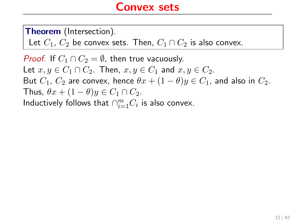Theorem (Intersection).

Let  $C_1$ ,  $C_2$  be convex sets. Then,  $C_1 \cap C_2$  is also convex.

*Proof.* If  $C_1 \cap C_2 = \emptyset$ , then true vacuously. Let  $x, y \in C_1 \cap C_2$ . Then,  $x, y \in C_1$  and  $x, y \in C_2$ . But  $C_1$ ,  $C_2$  are convex, hence  $\theta x + (1 - \theta)y \in C_1$ , and also in  $C_2$ . Thus,  $\theta x + (1 - \theta)y \in C_1 \cap C_2$ . Inductively follows that  $\cap_{i=1}^m C_i$  is also convex.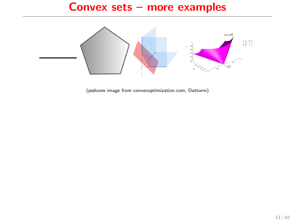#### Convex sets – more examples



(psdcone image from convexoptimization.com, Dattorro)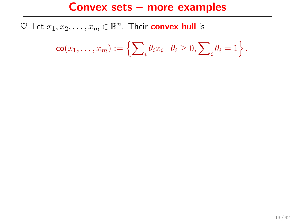#### Convex sets – more examples

 $\heartsuit$  Let  $x_1, x_2, \ldots, x_m \in \mathbb{R}^n$ . Their convex hull is

$$
\text{co}(x_1,\ldots,x_m):=\left\{\sum\nolimits_i \theta_i x_i \mid \theta_i\geq 0, \sum\nolimits_i \theta_i=1\right\}.
$$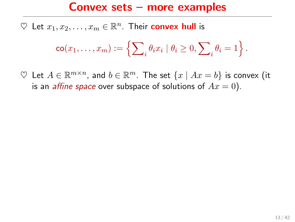$\heartsuit$  Let  $x_1, x_2, \ldots, x_m \in \mathbb{R}^n$ . Their convex hull is

$$
\text{co}(x_1,\ldots,x_m):=\left\{\sum\nolimits_i \theta_i x_i \mid \theta_i\geq 0, \sum\nolimits_i \theta_i=1\right\}.
$$

 $\heartsuit$  Let  $A \in \mathbb{R}^{m \times n}$ , and  $b \in \mathbb{R}^m$ . The set  $\{x \mid Ax = b\}$  is convex (it is an *affine space* over subspace of solutions of  $Ax = 0$ ).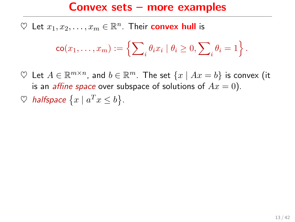$\heartsuit$  Let  $x_1, x_2, \ldots, x_m \in \mathbb{R}^n$ . Their convex hull is

$$
\text{co}(x_1,\ldots,x_m):=\left\{\sum\nolimits_i \theta_i x_i \mid \theta_i\geq 0, \sum\nolimits_i \theta_i=1\right\}.
$$

 $\heartsuit$  Let  $A \in \mathbb{R}^{m \times n}$ , and  $b \in \mathbb{R}^m$ . The set  $\{x \mid Ax = b\}$  is convex (it is an *affine space* over subspace of solutions of  $Ax = 0$ .  $\heartsuit$  halfspace  $\{x \mid a^T x \leq b\}.$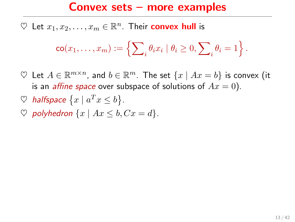$\heartsuit$  Let  $x_1, x_2, \ldots, x_m \in \mathbb{R}^n$ . Their convex hull is

$$
\text{co}(x_1,\ldots,x_m):=\left\{\sum\nolimits_i \theta_i x_i\mid \theta_i\geq 0, \sum\nolimits_i \theta_i=1\right\}.
$$

 $\heartsuit$  Let  $A \in \mathbb{R}^{m \times n}$ , and  $b \in \mathbb{R}^m$ . The set  $\{x \mid Ax = b\}$  is convex (it is an *affine space* over subspace of solutions of  $Ax = 0$ .

 $\heartsuit$  halfspace  $\{x \mid a^T x \leq b\}.$ 

$$
\heartsuit\ \textit{polyhedron}\ \{x\mid Ax\leq b, Cx=d\}.
$$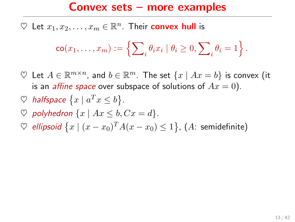$\heartsuit$  Let  $x_1, x_2, \ldots, x_m \in \mathbb{R}^n$ . Their convex hull is

$$
\text{co}(x_1,\ldots,x_m):=\left\{\sum\nolimits_i\theta_ix_i\mid\theta_i\geq 0,\sum\nolimits_i\theta_i=1\right\}.
$$

- $\heartsuit$  Let  $A \in \mathbb{R}^{m \times n}$ , and  $b \in \mathbb{R}^m$ . The set  $\{x \mid Ax = b\}$  is convex (it is an *affine space* over subspace of solutions of  $Ax = 0$ .
- $\heartsuit$  halfspace  $\{x \mid a^T x \leq b\}.$
- $\heartsuit$  polyhedron  $\{x \mid Ax \leq b, Cx = d\}.$
- ♡ ellipsoid  $\{x \mid (x-x_0)^T A (x-x_0) \leq 1\}$ ,  $(A:$  semidefinite)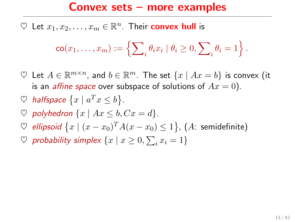$\heartsuit$  Let  $x_1, x_2, \ldots, x_m \in \mathbb{R}^n$ . Their convex hull is

$$
\text{co}(x_1,\ldots,x_m):=\left\{\sum\nolimits_i\theta_ix_i\mid\theta_i\geq 0,\sum\nolimits_i\theta_i=1\right\}.
$$

- $\heartsuit$  Let  $A \in \mathbb{R}^{m \times n}$ , and  $b \in \mathbb{R}^m$ . The set  $\{x \mid Ax = b\}$  is convex (it is an *affine space* over subspace of solutions of  $Ax = 0$ .
- $\heartsuit$  halfspace  $\{x \mid a^T x \leq b\}.$
- $\heartsuit$  polyhedron  $\{x \mid Ax \leq b, Cx = d\}.$
- ♡ ellipsoid  $\{x \mid (x-x_0)^T A (x-x_0) \leq 1\}$ ,  $(A:$  semidefinite)
- $\heartsuit$  probability simplex  $\{x \mid x \geq 0, \sum_i x_i = 1\}$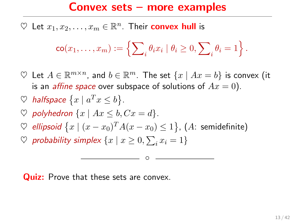$\heartsuit$  Let  $x_1, x_2, \ldots, x_m \in \mathbb{R}^n$ . Their convex hull is

$$
\text{co}(x_1,\ldots,x_m):=\left\{\sum\nolimits_i\theta_ix_i\mid\theta_i\geq 0,\sum\nolimits_i\theta_i=1\right\}.
$$

 $\heartsuit$  Let  $A \in \mathbb{R}^{m \times n}$ , and  $b \in \mathbb{R}^m$ . The set  $\{x \mid Ax = b\}$  is convex (it is an *affine space* over subspace of solutions of  $Ax = 0$ .

$$
\heartsuit \ \ \textit{halfspace} \ \{x \mid a^T x \leq b\}.
$$

- $\heartsuit$  polyhedron  $\{x \mid Ax \leq b, Cx = d\}.$
- ♡ ellipsoid  $\{x \mid (x-x_0)^T A (x-x_0) \leq 1\}$ ,  $(A:$  semidefinite)
- $\heartsuit$  probability simplex  $\{x \mid x \geq 0, \sum_i x_i = 1\}$

◦

#### **Quiz:** Prove that these sets are convex.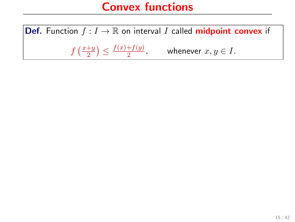**Def.** Function  $f: I \to \mathbb{R}$  on interval I called **midpoint convex** if  $f\left(\frac{x+y}{2}\right)$  $\frac{y}{2}) \leq \frac{f(x)+f(y)}{2}$  $\frac{f(x,y)}{2}$ , whenever  $x, y \in I$ .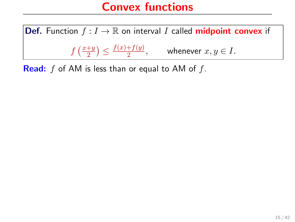**Def.** Function  $f: I \to \mathbb{R}$  on interval I called **midpoint convex** if  $f\left(\frac{x+y}{2}\right)$  $\frac{y}{2}) \leq \frac{f(x)+f(y)}{2}$  $\frac{f(x,y)}{2}$ , whenever  $x, y \in I$ .

**Read:**  $f$  of AM is less than or equal to AM of  $f$ .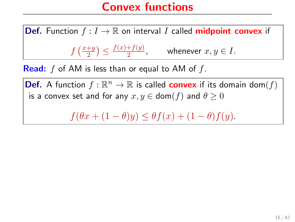**Def.** Function  $f: I \to \mathbb{R}$  on interval I called **midpoint convex** if  $f\left(\frac{x+y}{2}\right)$  $\frac{y}{2}) \leq \frac{f(x)+f(y)}{2}$  $\frac{f(x,y)}{2}$ , whenever  $x, y \in I$ .

**Read:**  $f$  of AM is less than or equal to AM of  $f$ .

**Def.** A function  $f : \mathbb{R}^n \to \mathbb{R}$  is called **convex** if its domain dom(f) is a convex set and for any  $x, y \in \text{dom}(f)$  and  $\theta \ge 0$ 

 $f(\theta x + (1 - \theta)y) \leq \theta f(x) + (1 - \theta)f(y).$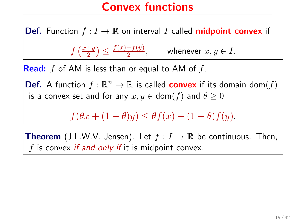**Def.** Function  $f: I \to \mathbb{R}$  on interval I called **midpoint convex** if  $f\left(\frac{x+y}{2}\right)$  $\frac{y}{2}) \leq \frac{f(x)+f(y)}{2}$  $\frac{f(x,y)}{2}$ , whenever  $x, y \in I$ .

**Read:**  $f$  of AM is less than or equal to AM of  $f$ .

**Def.** A function  $f : \mathbb{R}^n \to \mathbb{R}$  is called **convex** if its domain dom(f) is a convex set and for any  $x, y \in \text{dom}(f)$  and  $\theta \geq 0$ 

 $f(\theta x + (1 - \theta)y) \leq \theta f(x) + (1 - \theta)f(y).$ 

**Theorem** (J.L.W.V. Jensen). Let  $f: I \to \mathbb{R}$  be continuous. Then,  $f$  is convex if and only if it is midpoint convex.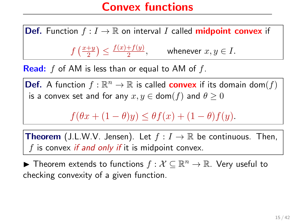**Def.** Function  $f: I \to \mathbb{R}$  on interval I called **midpoint convex** if  $f\left(\frac{x+y}{2}\right)$  $\frac{y}{2}) \leq \frac{f(x)+f(y)}{2}$  $\frac{f(x,y)}{2}$ , whenever  $x, y \in I$ .

**Read:**  $f$  of AM is less than or equal to AM of  $f$ .

**Def.** A function  $f : \mathbb{R}^n \to \mathbb{R}$  is called **convex** if its domain dom(f) is a convex set and for any  $x, y \in \text{dom}(f)$  and  $\theta \geq 0$ 

 $f(\theta x + (1 - \theta)y) \leq \theta f(x) + (1 - \theta)f(y).$ 

**Theorem** (J.L.W.V. Jensen). Let  $f: I \to \mathbb{R}$  be continuous. Then,  $f$  is convex if and only if it is midpoint convex.

▶ Theorem extends to functions  $f: \mathcal{X} \subseteq \mathbb{R}^n \to \mathbb{R}$ . Very useful to checking convexity of a given function.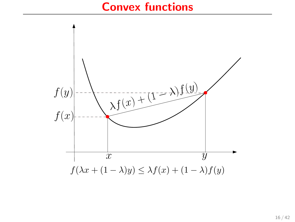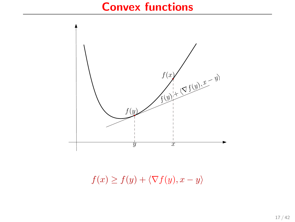

 $f(x) \geq f(y) + \langle \nabla f(y), x - y \rangle$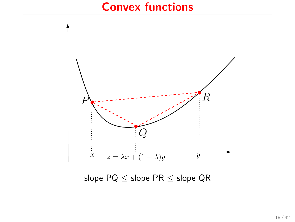

slope  $PQ \le$  slope  $PR \le$  slope  $QR$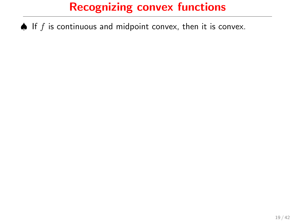## Recognizing convex functions

 $\spadesuit$  If  $f$  is continuous and midpoint convex, then it is convex.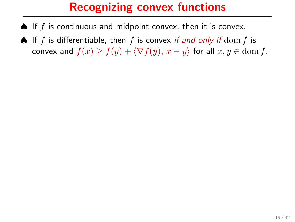## Recognizing convex functions

- $\spadesuit$  If f is continuous and midpoint convex, then it is convex.
- $\triangle$  If f is differentiable, then f is convex if and only if  $\text{dom } f$  is convex and  $f(x) \ge f(y) + \langle \nabla f(y), x - y \rangle$  for all  $x, y \in \text{dom } f$ .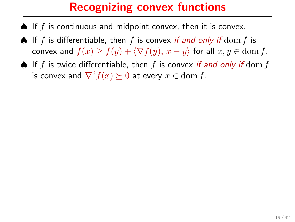## Recognizing convex functions

- $\triangle$  If f is continuous and midpoint convex, then it is convex.
- $\spadesuit$  If f is differentiable, then f is convex if and only if  $\text{dom } f$  is convex and  $f(x) \ge f(y) + \langle \nabla f(y), x - y \rangle$  for all  $x, y \in \text{dom } f$ .
- $\spadesuit$  If f is twice differentiable, then f is convex if and only if  $\text{dom } f$ is convex and  $\nabla^2 f(x) \succeq 0$  at every  $x \in \text{dom } f$ .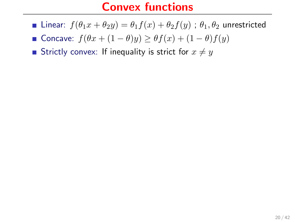**Linear:**  $f(\theta_1x + \theta_2y) = \theta_1f(x) + \theta_2f(y)$ ;  $\theta_1, \theta_2$  unrestricted

**■ Concave:**  $f(\theta x + (1 - \theta)y) \geq \theta f(x) + (1 - \theta)f(y)$ 

Strictly convex: If inequality is strict for  $x \neq y$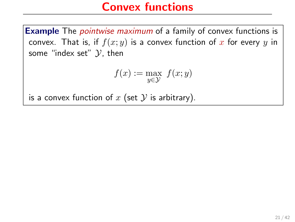**Example** The *pointwise maximum* of a family of convex functions is convex. That is, if  $f(x; y)$  is a convex function of x for every y in some "index set"  $\mathcal{Y}$ , then

$$
f(x) := \max_{y \in \mathcal{Y}} f(x; y)
$$

is a convex function of  $x$  (set  $Y$  is arbitrary).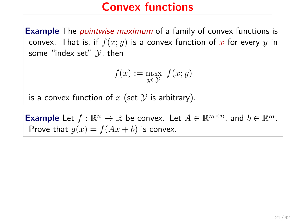**Example** The *pointwise maximum* of a family of convex functions is convex. That is, if  $f(x; y)$  is a convex function of x for every y in some "index set"  $\mathcal Y$ , then

$$
f(x):=\max_{y\in\mathcal{Y}}\ f(x;y)
$$

is a convex function of  $x$  (set  $Y$  is arbitrary).

**Example** Let  $f : \mathbb{R}^n \to \mathbb{R}$  be convex. Let  $A \in \mathbb{R}^{m \times n}$ , and  $b \in \mathbb{R}^m$ . Prove that  $g(x) = f(Ax + b)$  is convex.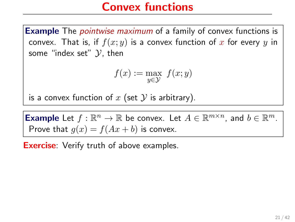**Example** The *pointwise maximum* of a family of convex functions is convex. That is, if  $f(x; y)$  is a convex function of x for every y in some "index set"  $\mathcal{Y}$ , then

$$
f(x):=\max_{y\in\mathcal{Y}}\ f(x;y)
$$

is a convex function of  $x$  (set  $Y$  is arbitrary).

**Example** Let  $f : \mathbb{R}^n \to \mathbb{R}$  be convex. Let  $A \in \mathbb{R}^{m \times n}$ , and  $b \in \mathbb{R}^m$ . Prove that  $g(x) = f(Ax + b)$  is convex.

**Exercise**: Verify truth of above examples.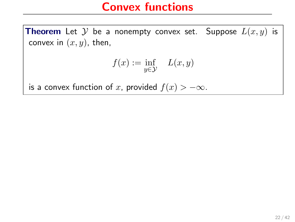**Theorem** Let  $Y$  be a nonempty convex set. Suppose  $L(x, y)$  is convex in  $(x, y)$ , then,

$$
f(x) := \inf_{y \in \mathcal{Y}} L(x, y)
$$

is a convex function of x, provided  $f(x) > -\infty$ .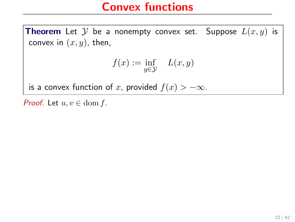**Theorem** Let  $Y$  be a nonempty convex set. Suppose  $L(x, y)$  is convex in  $(x, y)$ , then,

$$
f(x) := \inf_{y \in \mathcal{Y}} L(x, y)
$$

is a convex function of x, provided  $f(x) > -\infty$ .

*Proof.* Let  $u, v \in \text{dom } f$ .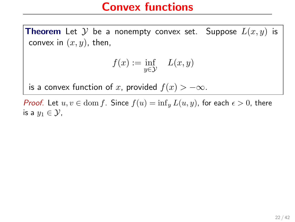**Theorem** Let Y be a nonempty convex set. Suppose  $L(x, y)$  is convex in  $(x, y)$ , then,

$$
f(x) := \inf_{y \in \mathcal{Y}} L(x, y)
$$

is a convex function of x, provided  $f(x) > -\infty$ .

*Proof.* Let  $u, v \in \text{dom } f$ . Since  $f(u) = \inf_u L(u, y)$ , for each  $\epsilon > 0$ , there is a  $y_1 \in \mathcal{Y}$ ,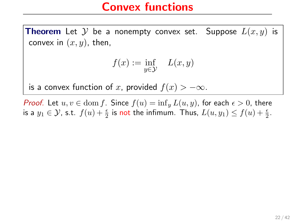**Theorem** Let Y be a nonempty convex set. Suppose  $L(x, y)$  is convex in  $(x, y)$ , then,

$$
f(x) := \inf_{y \in \mathcal{Y}} L(x, y)
$$

is a convex function of x, provided  $f(x) > -\infty$ .

*Proof.* Let  $u, v \in \text{dom } f$ . Since  $f(u) = \inf_u L(u, y)$ , for each  $\epsilon > 0$ , there is a  $y_1 \in \mathcal{Y}$ , s.t.  $f(u) + \frac{\epsilon}{2}$  is not the infimum. Thus,  $L(u, y_1) \le f(u) + \frac{\epsilon}{2}$ .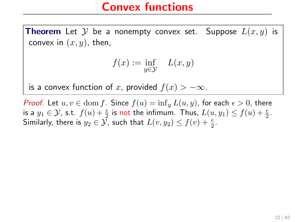**Theorem** Let Y be a nonempty convex set. Suppose  $L(x, y)$  is convex in  $(x, y)$ , then,

$$
f(x) := \inf_{y \in \mathcal{Y}} L(x, y)
$$

is a convex function of x, provided  $f(x) > -\infty$ .

*Proof.* Let  $u, v \in \text{dom } f$ . Since  $f(u) = \inf_u L(u, y)$ , for each  $\epsilon > 0$ , there is a  $y_1 \in \mathcal{Y}$ , s.t.  $f(u) + \frac{\epsilon}{2}$  is not the infimum. Thus,  $L(u, y_1) \le f(u) + \frac{\epsilon}{2}$ . Similarly, there is  $y_2 \in \tilde{\mathcal{Y}}$ , such that  $L(v, y_2) \leq f(v) + \frac{\epsilon}{2}$ .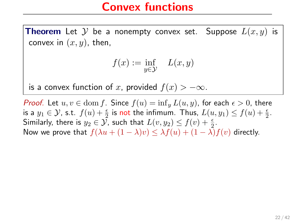**Theorem** Let Y be a nonempty convex set. Suppose  $L(x, y)$  is convex in  $(x, y)$ , then,

$$
f(x) := \inf_{y \in \mathcal{Y}} L(x, y)
$$

is a convex function of x, provided  $f(x) > -\infty$ .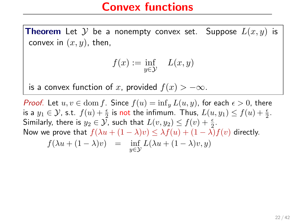**Theorem** Let Y be a nonempty convex set. Suppose  $L(x, y)$  is convex in  $(x, y)$ , then,

$$
f(x) := \inf_{y \in \mathcal{Y}} L(x, y)
$$

is a convex function of x, provided  $f(x) > -\infty$ .

$$
f(\lambda u + (1 - \lambda)v) = \inf_{y \in \mathcal{Y}} L(\lambda u + (1 - \lambda)v, y)
$$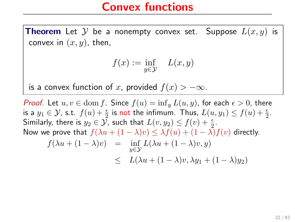**Theorem** Let Y be a nonempty convex set. Suppose  $L(x, y)$  is convex in  $(x, y)$ , then,

$$
f(x) := \inf_{y \in \mathcal{Y}} L(x, y)
$$

is a convex function of x, provided  $f(x) > -\infty$ .

$$
f(\lambda u + (1 - \lambda)v) = \inf_{y \in \mathcal{Y}} L(\lambda u + (1 - \lambda)v, y)
$$
  
 
$$
\leq L(\lambda u + (1 - \lambda)v, \lambda y_1 + (1 - \lambda)y_2)
$$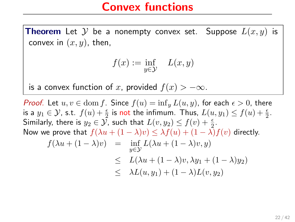**Theorem** Let Y be a nonempty convex set. Suppose  $L(x, y)$  is convex in  $(x, y)$ , then,

$$
f(x) := \inf_{y \in \mathcal{Y}} L(x, y)
$$

is a convex function of x, provided  $f(x) > -\infty$ .

$$
f(\lambda u + (1 - \lambda)v) = \inf_{y \in \mathcal{Y}} L(\lambda u + (1 - \lambda)v, y)
$$
  
\n
$$
\leq L(\lambda u + (1 - \lambda)v, \lambda y_1 + (1 - \lambda)y_2)
$$
  
\n
$$
\leq \lambda L(u, y_1) + (1 - \lambda)L(v, y_2)
$$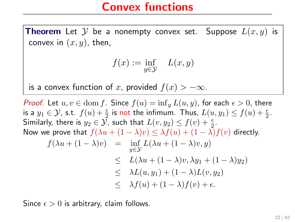**Theorem** Let Y be a nonempty convex set. Suppose  $L(x, y)$  is convex in  $(x, y)$ , then,

$$
f(x) := \inf_{y \in \mathcal{Y}} L(x, y)
$$

is a convex function of x, provided  $f(x) > -\infty$ .

*Proof.* Let  $u, v \in \text{dom } f$ . Since  $f(u) = \inf_u L(u, y)$ , for each  $\epsilon > 0$ , there is a  $y_1 \in \mathcal{Y}$ , s.t.  $f(u) + \frac{\epsilon}{2}$  is not the infimum. Thus,  $L(u, y_1) \le f(u) + \frac{\epsilon}{2}$ . Similarly, there is  $y_2 \in \overline{\mathcal{Y}}$ , such that  $L(v, y_2) \leq f(v) + \frac{\epsilon}{2}$ . Now we prove that  $f(\lambda u + (1 - \lambda)v) \leq \lambda f(u) + (1 - \lambda)f(v)$  directly.

$$
f(\lambda u + (1 - \lambda)v) = \inf_{y \in \mathcal{Y}} L(\lambda u + (1 - \lambda)v, y)
$$
  
\n
$$
\leq L(\lambda u + (1 - \lambda)v, \lambda y_1 + (1 - \lambda)y_2)
$$
  
\n
$$
\leq \lambda L(u, y_1) + (1 - \lambda)L(v, y_2)
$$
  
\n
$$
\leq \lambda f(u) + (1 - \lambda)f(v) + \epsilon.
$$

Since  $\epsilon > 0$  is arbitrary, claim follows.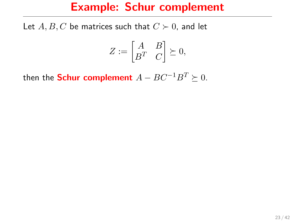Let  $A, B, C$  be matrices such that  $C \succ 0$ , and let

$$
Z := \begin{bmatrix} A & B \\ B^T & C \end{bmatrix} \succeq 0,
$$

then the **Schur complement**  $A - BC^{-1}B^T \succeq 0$ .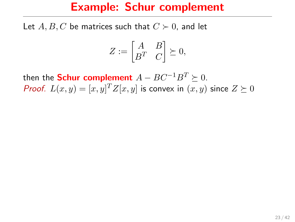Let  $A, B, C$  be matrices such that  $C \succ 0$ , and let

$$
Z := \begin{bmatrix} A & B \\ B^T & C \end{bmatrix} \succeq 0,
$$

then the **Schur complement**  $A - BC^{-1}B^T \succeq 0$ . *Proof.*  $L(x, y) = [x, y]^T Z[x, y]$  is convex in  $(x, y)$  since  $Z \succeq 0$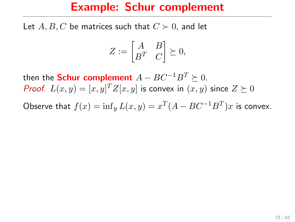Let A, B, C be matrices such that  $C \succ 0$ , and let

$$
Z := \begin{bmatrix} A & B \\ B^T & C \end{bmatrix} \succeq 0,
$$

then the **Schur complement**  $A - BC^{-1}B^T \succeq 0$ . *Proof.*  $L(x, y) = [x, y]^T Z[x, y]$  is convex in  $(x, y)$  since  $Z \succeq 0$ 

Observe that  $f(x) = \inf_y L(x, y) = x^T (A - BC^{-1}B^T)x$  is convex.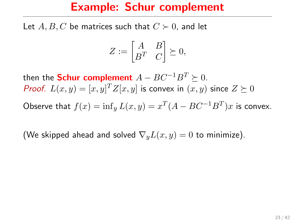Let A, B, C be matrices such that  $C \succ 0$ , and let

$$
Z := \begin{bmatrix} A & B \\ B^T & C \end{bmatrix} \succeq 0,
$$

then the **Schur complement**  $A - BC^{-1}B^T \succeq 0$ . *Proof.*  $L(x, y) = [x, y]^T Z[x, y]$  is convex in  $(x, y)$  since  $Z \succeq 0$ 

Observe that  $f(x) = \inf_y L(x, y) = x^T (A - BC^{-1}B^T)x$  is convex.

(We skipped ahead and solved  $\nabla_y L(x, y) = 0$  to minimize).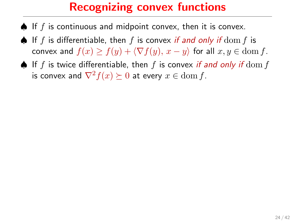## Recognizing convex functions

- $\triangle$  If f is continuous and midpoint convex, then it is convex.
- $\spadesuit$  If f is differentiable, then f is convex if and only if  $\text{dom } f$  is convex and  $f(x) \ge f(y) + \langle \nabla f(y), x - y \rangle$  for all  $x, y \in \text{dom } f$ .
- $\spadesuit$  If f is twice differentiable, then f is convex if and only if  $\text{dom } f$ is convex and  $\nabla^2 f(x) \succeq 0$  at every  $x \in \text{dom } f$ .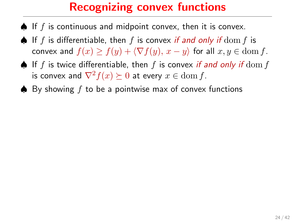## Recognizing convex functions

- $\triangle$  If f is continuous and midpoint convex, then it is convex.
- $\spadesuit$  If f is differentiable, then f is convex if and only if  $\text{dom } f$  is convex and  $f(x) \ge f(y) + \langle \nabla f(y), x - y \rangle$  for all  $x, y \in \text{dom } f$ .
- $\spadesuit$  If f is twice differentiable, then f is convex if and only if  $\text{dom } f$ is convex and  $\nabla^2 f(x) \succeq 0$  at every  $x \in$  dom f.
- $\triangle$  By showing f to be a pointwise max of convex functions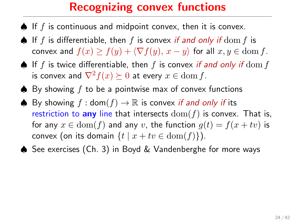## Recognizing convex functions

- $\spadesuit$  If f is continuous and midpoint convex, then it is convex.
- $\spadesuit$  If f is differentiable, then f is convex if and only if  $\text{dom } f$  is convex and  $f(x) \ge f(y) + \langle \nabla f(y), x - y \rangle$  for all  $x, y \in \text{dom } f$ .
- $\spadesuit$  If f is twice differentiable, then f is convex if and only if  $\text{dom } f$ is convex and  $\nabla^2 f(x) \succeq 0$  at every  $x \in$  dom f.
- $\spadesuit$  By showing f to be a pointwise max of convex functions
- $\spadesuit$  By showing  $f : \text{dom}(f) \to \mathbb{R}$  is convex if and only if its restriction to any line that intersects  $dom(f)$  is convex. That is, for any  $x \in \text{dom}(f)$  and any v, the function  $g(t) = f(x + tv)$  is convex (on its domain  $\{t \mid x + tv \in \text{dom}(f)\}\)$ .
- ♠ See exercises (Ch. 3) in Boyd & Vandenberghe for more ways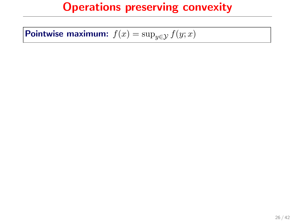Pointwise maximum:  $f(x) = \sup_{y \in \mathcal{Y}} f(y; x)$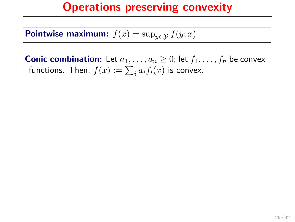Pointwise maximum:  $f(x) = \sup_{y \in \mathcal{Y}} f(y; x)$ 

**Conic combination:** Let  $a_1, \ldots, a_n \geq 0$ ; let  $f_1, \ldots, f_n$  be convex functions. Then,  $f(x) := \sum_i a_i f_i(x)$  is convex.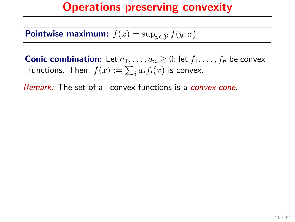Pointwise maximum:  $f(x) = \sup_{y \in \mathcal{Y}} f(y; x)$ 

**Conic combination:** Let  $a_1, \ldots, a_n \geq 0$ ; let  $f_1, \ldots, f_n$  be convex functions. Then,  $f(x) := \sum_i a_i f_i(x)$  is convex.

Remark: The set of all convex functions is a *convex cone*.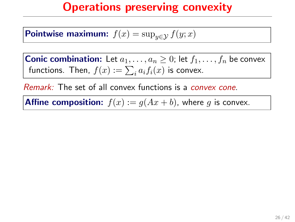Pointwise maximum:  $f(x) = \sup_{y \in \mathcal{Y}} f(y; x)$ 

**Conic combination:** Let  $a_1, \ldots, a_n \geq 0$ ; let  $f_1, \ldots, f_n$  be convex functions. Then,  $f(x) := \sum_i a_i f_i(x)$  is convex.

Remark: The set of all convex functions is a *convex cone*.

**Affine composition:**  $f(x) := g(Ax + b)$ , where g is convex.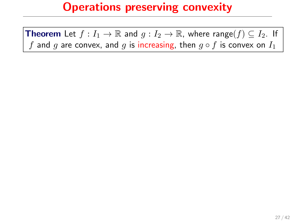**Theorem** Let  $f: I_1 \to \mathbb{R}$  and  $g: I_2 \to \mathbb{R}$ , where range(f)  $\subseteq I_2$ . If f and g are convex, and g is increasing, then  $g \circ f$  is convex on  $I_1$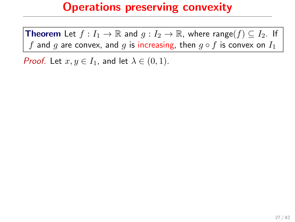**Theorem** Let  $f: I_1 \to \mathbb{R}$  and  $g: I_2 \to \mathbb{R}$ , where range(f)  $\subseteq I_2$ . If f and g are convex, and g is increasing, then  $g \circ f$  is convex on  $I_1$ 

*Proof.* Let  $x, y \in I_1$ , and let  $\lambda \in (0, 1)$ .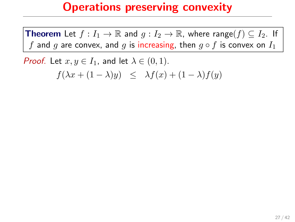**Theorem** Let  $f: I_1 \to \mathbb{R}$  and  $g: I_2 \to \mathbb{R}$ , where range(f)  $\subseteq I_2$ . If f and g are convex, and g is increasing, then  $g \circ f$  is convex on  $I_1$ 

*Proof.* Let  $x, y \in I_1$ , and let  $\lambda \in (0, 1)$ .

 $f(\lambda x + (1 - \lambda)y) \leq \lambda f(x) + (1 - \lambda)f(y)$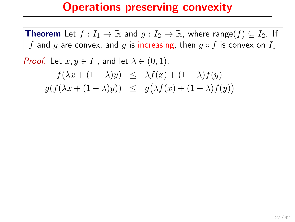**Theorem** Let  $f: I_1 \to \mathbb{R}$  and  $g: I_2 \to \mathbb{R}$ , where range(f)  $\subseteq I_2$ . If f and g are convex, and g is increasing, then  $g \circ f$  is convex on  $I_1$ 

*Proof.* Let  $x, y \in I_1$ , and let  $\lambda \in (0, 1)$ .

 $f(\lambda x + (1 - \lambda)y) \leq \lambda f(x) + (1 - \lambda)f(y)$  $g(f(\lambda x + (1 - \lambda)y)) \leq g(\lambda f(x) + (1 - \lambda)f(y))$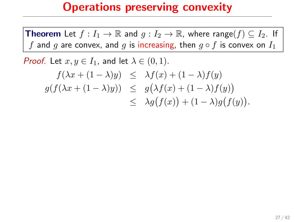**Theorem** Let  $f: I_1 \to \mathbb{R}$  and  $g: I_2 \to \mathbb{R}$ , where range(f)  $\subseteq I_2$ . If f and g are convex, and g is increasing, then  $g \circ f$  is convex on  $I_1$ 

*Proof.* Let  $x, y \in I_1$ , and let  $\lambda \in (0, 1)$ .

$$
f(\lambda x + (1 - \lambda)y) \leq \lambda f(x) + (1 - \lambda)f(y)
$$
  

$$
g(f(\lambda x + (1 - \lambda)y)) \leq g(\lambda f(x) + (1 - \lambda)f(y))
$$
  

$$
\leq \lambda g(f(x)) + (1 - \lambda)g(f(y)).
$$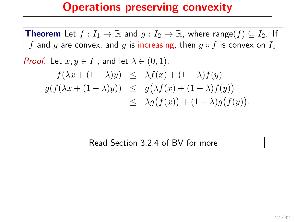**Theorem** Let  $f: I_1 \to \mathbb{R}$  and  $g: I_2 \to \mathbb{R}$ , where range(f)  $\subseteq I_2$ . If f and g are convex, and g is increasing, then  $g \circ f$  is convex on  $I_1$ 

*Proof.* Let  $x, y \in I_1$ , and let  $\lambda \in (0, 1)$ .

$$
f(\lambda x + (1 - \lambda)y) \leq \lambda f(x) + (1 - \lambda)f(y)
$$
  

$$
g(f(\lambda x + (1 - \lambda)y)) \leq g(\lambda f(x) + (1 - \lambda)f(y))
$$
  

$$
\leq \lambda g(f(x)) + (1 - \lambda)g(f(y)).
$$

Read Section 3.2.4 of BV for more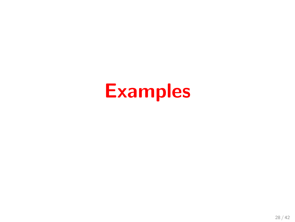## Examples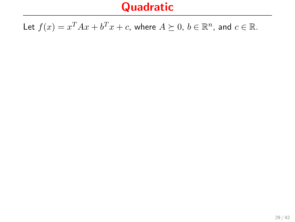#### Quadratic

Let  $f(x) = x^T A x + b^T x + c$ , where  $A \succeq 0$ ,  $b \in \mathbb{R}^n$ , and  $c \in \mathbb{R}$ .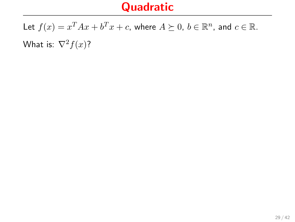#### Quadratic

Let  $f(x) = x^T A x + b^T x + c$ , where  $A \succeq 0$ ,  $b \in \mathbb{R}^n$ , and  $c \in \mathbb{R}$ . What is:  $\nabla^2 f(x)$ ?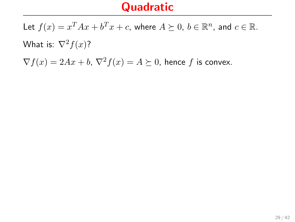#### Quadratic

Let  $f(x) = x^T A x + b^T x + c$ , where  $A \succeq 0$ ,  $b \in \mathbb{R}^n$ , and  $c \in \mathbb{R}$ . What is:  $\nabla^2 f(x)$ ?

 $\nabla f(x) = 2Ax + b$ ,  $\nabla^2 f(x) = A \succeq 0$ , hence f is convex.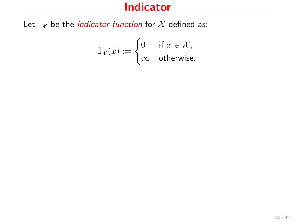#### Indicator

Let  $\mathbb{I}_{\mathcal{X}}$  be the *indicator function* for  $\mathcal{X}$  defined as:

$$
\mathbb{I}_{\mathcal{X}}(x) := \begin{cases} 0 & \text{if } x \in \mathcal{X}, \\ \infty & \text{otherwise.} \end{cases}
$$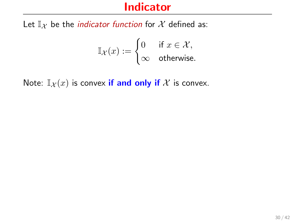#### Indicator

Let  $\mathbb{I}_{\mathcal{X}}$  be the *indicator function* for  $\mathcal{X}$  defined as:

$$
\mathbb{I}_{\mathcal{X}}(x) := \begin{cases} 0 & \text{if } x \in \mathcal{X}, \\ \infty & \text{otherwise.} \end{cases}
$$

Note:  $\mathbb{I}_{\mathcal{X}}(x)$  is convex if and only if X is convex.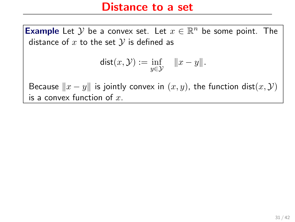#### Distance to a set

**Example** Let  $Y$  be a convex set. Let  $x \in \mathbb{R}^n$  be some point. The distance of  $x$  to the set  $\mathcal Y$  is defined as

$$
\mathsf{dist}(x,\mathcal{Y}):=\inf_{y\in\mathcal{Y}}\quad \|x-y\|.
$$

Because  $||x - y||$  is jointly convex in  $(x, y)$ , the function dist $(x, y)$ is a convex function of  $x$ .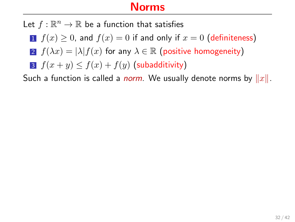#### Norms

Let  $f : \mathbb{R}^n \to \mathbb{R}$  be a function that satisfies

1  $f(x) \ge 0$ , and  $f(x) = 0$  if and only if  $x = 0$  (definiteness)

2  $f(\lambda x) = |\lambda| f(x)$  for any  $\lambda \in \mathbb{R}$  (positive homogeneity)

3  $f(x + y) \le f(x) + f(y)$  (subadditivity)

Such a function is called a *norm*. We usually denote norms by  $||x||$ .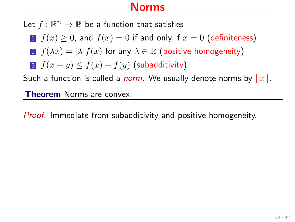#### Norms

Let  $f : \mathbb{R}^n \to \mathbb{R}$  be a function that satisfies

1  $f(x) \ge 0$ , and  $f(x) = 0$  if and only if  $x = 0$  (definiteness)

2  $f(\lambda x) = |\lambda| f(x)$  for any  $\lambda \in \mathbb{R}$  (positive homogeneity)

3  $f(x + y) \le f(x) + f(y)$  (subadditivity)

Such a function is called a *norm*. We usually denote norms by  $||x||$ .

Theorem Norms are convex.

Proof. Immediate from subadditivity and positive homogeneity.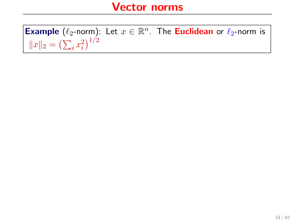**Example**  $(\ell_2\text{-norm})$ : Let  $x \in \mathbb{R}^n$ . The **Euclidean** or  $\ell_2\text{-norm}$  is  $||x||_2 = \left(\sum_i x_i^2\right)^{1/2}$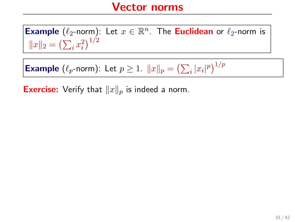**Example**  $(\ell_2\text{-norm})$ : Let  $x \in \mathbb{R}^n$ . The **Euclidean** or  $\ell_2\text{-norm}$  is  $||x||_2 = \left(\sum_i x_i^2\right)^{1/2}$ 

**Example**  $(\ell_p\text{-norm})$ : Let  $p \geq 1$ .  $||x||_p = \left(\sum_i |x_i|^p\right)^{1/p}$ 

**Exercise:** Verify that  $||x||_p$  is indeed a norm.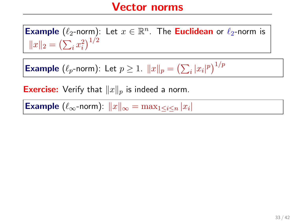**Example**  $(\ell_2\text{-norm})$ : Let  $x \in \mathbb{R}^n$ . The **Euclidean** or  $\ell_2\text{-norm}$  is  $||x||_2 = \left(\sum_i x_i^2\right)^{1/2}$ 

**Example**  $(\ell_p\text{-norm})$ : Let  $p \geq 1$ .  $||x||_p = \left(\sum_i |x_i|^p\right)^{1/p}$ 

**Exercise:** Verify that  $||x||_p$  is indeed a norm.

**Example**  $(\ell_{\infty}$ -norm):  $||x||_{\infty} = \max_{1 \leq i \leq n} |x_i|$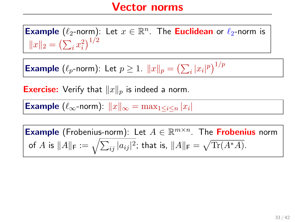**Example**  $(\ell_2\text{-norm})$ : Let  $x \in \mathbb{R}^n$ . The **Euclidean** or  $\ell_2\text{-norm}$  is  $||x||_2 = \left(\sum_i x_i^2\right)^{1/2}$ 

**Example**  $(\ell_p\text{-norm})$ : Let  $p \geq 1$ .  $||x||_p = \left(\sum_i |x_i|^p\right)^{1/p}$ 

**Exercise:** Verify that  $||x||_p$  is indeed a norm.

**Example**  $(\ell_{\infty}$ -norm):  $||x||_{\infty} = \max_{1 \leq i \leq n} |x_i|$ 

**Example** (Frobenius-norm): Let  $A \in \mathbb{R}^{m \times n}$ . The **Frobenius** norm of  $A$  is  $\|A\|_{\mathsf{F}} := \sqrt{\sum_{ij} |a_{ij}|^2};$  that is,  $\|A\|_{\mathsf{F}} = \sqrt{\text{Tr}(A^*A)}.$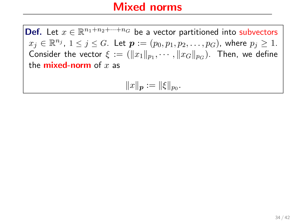#### Mixed norms

**Def.** Let  $x \in \mathbb{R}^{n_1+n_2+\cdots+n_G}$  be a vector partitioned into subvectors  $x_j \in \mathbb{R}^{n_j}$ ,  $1 \le j \le G$ . Let  $p := (p_0, p_1, p_2, \ldots, p_G)$ , where  $p_j \ge 1$ . Consider the vector  $\xi := (\|x_1\|_{p_1}, \cdots, \|x_G\|_{p_G})$ . Then, we define the **mixed-norm** of  $x$  as

$$
||x||_p := ||\xi||_{p_0}.
$$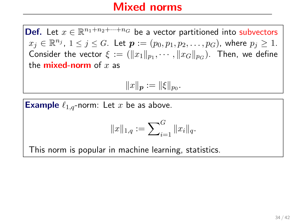#### Mixed norms

**Def.** Let  $x \in \mathbb{R}^{n_1+n_2+\cdots+n_G}$  be a vector partitioned into subvectors  $x_j \in \mathbb{R}^{n_j}$ ,  $1 \le j \le G$ . Let  $p := (p_0, p_1, p_2, \ldots, p_G)$ , where  $p_j \ge 1$ . Consider the vector  $\xi := (\|x_1\|_{p_1}, \cdots, \|x_G\|_{p_G})$ . Then, we define the **mixed-norm** of  $x$  as

$$
||x||_p := ||\xi||_{p_0}.
$$

**Example**  $\ell_{1,q}$ -norm: Let x be as above.

$$
||x||_{1,q} := \sum_{i=1}^{G} ||x_i||_q.
$$

This norm is popular in machine learning, statistics.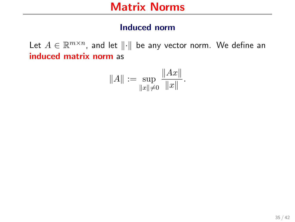#### Induced norm

Let  $A \in \mathbb{R}^{m \times n}$ , and let  $\|\cdot\|$  be any vector norm. We define an induced matrix norm as

$$
||A|| := \sup_{||x|| \neq 0} \frac{||Ax||}{||x||}.
$$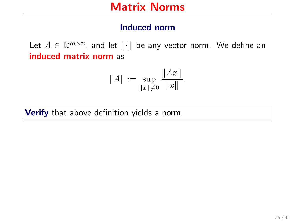#### Induced norm

Let  $A \in \mathbb{R}^{m \times n}$ , and let  $\|\cdot\|$  be any vector norm. We define an induced matrix norm as

$$
||A|| := \sup_{||x|| \neq 0} \frac{||Ax||}{||x||}.
$$

Verify that above definition yields a norm.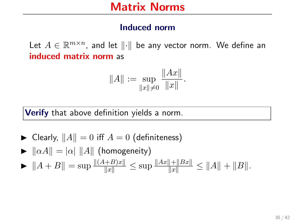#### Induced norm

Let  $A \in \mathbb{R}^{m \times n}$ , and let  $\|\cdot\|$  be any vector norm. We define an induced matrix norm as

$$
||A|| := \sup_{||x|| \neq 0} \frac{||Ax||}{||x||}.
$$

Verify that above definition yields a norm.

- $\blacktriangleright$  Clearly,  $||A|| = 0$  iff  $A = 0$  (definiteness)
- $\blacktriangleright$   $\|\alpha A\| = |\alpha| \|A\|$  (homogeneity)  $\blacktriangleright \|A + B\| = \sup \frac{\|(A+B)x\|}{\|x\|} \leq \sup \frac{\|Ax\| + \|Bx\|}{\|x\|} \leq \|A\| + \|B\|.$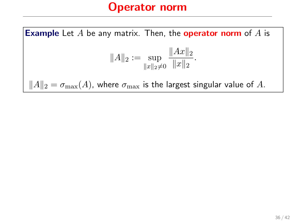**Example** Let  $A$  be any matrix. Then, the **operator norm** of  $A$  is

$$
||A||_2 := \sup_{||x||_2 \neq 0} \frac{||Ax||_2}{||x||_2}.
$$

 $\|A\|_2 = \sigma_{\max}(A)$ , where  $\sigma_{\max}$  is the largest singular value of  $A$ .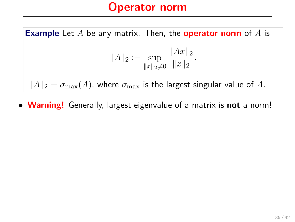**Example** Let A be any matrix. Then, the **operator norm** of A is

$$
||A||_2 := \sup_{||x||_2 \neq 0} \frac{||Ax||_2}{||x||_2}.
$$

 $||A||_2 = \sigma_{\max}(A)$ , where  $\sigma_{\max}$  is the largest singular value of A.

• **Warning!** Generally, largest eigenvalue of a matrix is not a norm!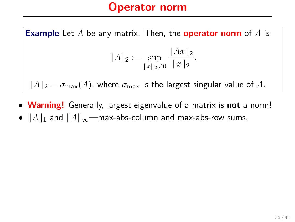**Example** Let A be any matrix. Then, the **operator norm** of A is

$$
||A||_2 := \sup_{||x||_2 \neq 0} \frac{||Ax||_2}{||x||_2}.
$$

 $||A||_2 = \sigma_{\max}(A)$ , where  $\sigma_{\max}$  is the largest singular value of A.

- **Warning!** Generally, largest eigenvalue of a matrix is not a norm!
- $||A||_1$  and  $||A||_{\infty}$ —max-abs-column and max-abs-row sums.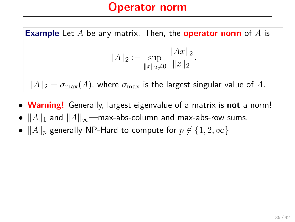**Example** Let  $A$  be any matrix. Then, the **operator norm** of  $A$  is

$$
||A||_2 := \sup_{||x||_2 \neq 0} \frac{||Ax||_2}{||x||_2}.
$$

 $||A||_2 = \sigma_{\max}(A)$ , where  $\sigma_{\max}$  is the largest singular value of A.

- Warning! Generally, largest eigenvalue of a matrix is not a norm!
- $||A||_1$  and  $||A||_{\infty}$ —max-abs-column and max-abs-row sums.
- $||A||_p$  generally NP-Hard to compute for  $p \notin \{1, 2, \infty\}$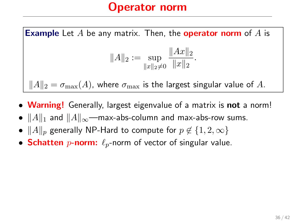### Operator norm

**Example** Let A be any matrix. Then, the **operator norm** of A is

$$
||A||_2 := \sup_{||x||_2 \neq 0} \frac{||Ax||_2}{||x||_2}.
$$

 $||A||_2 = \sigma_{\text{max}}(A)$ , where  $\sigma_{\text{max}}$  is the largest singular value of A.

- Warning! Generally, largest eigenvalue of a matrix is not a norm!
- $||A||_1$  and  $||A||_{\infty}$ —max-abs-column and max-abs-row sums.
- $||A||_p$  generally NP-Hard to compute for  $p \notin \{1, 2, \infty\}$
- Schatten p-norm:  $\ell_p$ -norm of vector of singular value.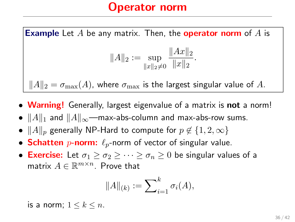### Operator norm

**Example** Let  $A$  be any matrix. Then, the **operator norm** of  $A$  is

$$
||A||_2 := \sup_{||x||_2 \neq 0} \frac{||Ax||_2}{||x||_2}.
$$

 $||A||_2 = \sigma_{\text{max}}(A)$ , where  $\sigma_{\text{max}}$  is the largest singular value of A.

- Warning! Generally, largest eigenvalue of a matrix is not a norm!
- $||A||_1$  and  $||A||_{\infty}$ —max-abs-column and max-abs-row sums.
- $||A||_p$  generally NP-Hard to compute for  $p \notin \{1, 2, \infty\}$
- Schatten *p*-norm:  $\ell_p$ -norm of vector of singular value.
- Exercise: Let  $\sigma_1 > \sigma_2 > \cdots > \sigma_n > 0$  be singular values of a matrix  $A \in \mathbb{R}^{m \times n}$ . Prove that

$$
||A||_{(k)} := \sum_{i=1}^{k} \sigma_i(A),
$$

is a norm;  $1 \leq k \leq n$ .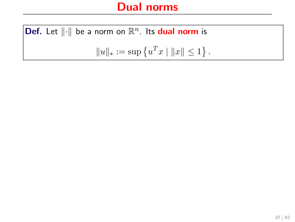#### Dual norms

**Def.** Let  $\|\cdot\|$  be a norm on  $\mathbb{R}^n$ . Its **dual norm** is  $||u||_* := \sup \{u^T x \mid ||x|| \leq 1\}.$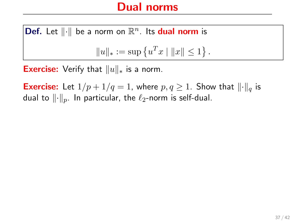**Def.** Let  $\|\cdot\|$  be a norm on  $\mathbb{R}^n$ . Its **dual norm** is  $||u||_* := \sup \{u^T x \mid ||x|| \leq 1\}.$ 

**Exercise:** Verify that  $||u||_*$  is a norm.

**Exercise:** Let  $1/p + 1/q = 1$ , where  $p, q \ge 1$ . Show that  $\lVert \cdot \rVert_q$  is dual to  $\lVert \cdot \rVert_p$ . In particular, the  $\ell_2$ -norm is self-dual.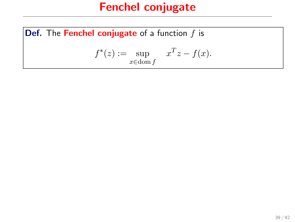Def. The Fenchel conjugate of a function  $f$  is

$$
f^*(z) := \sup_{x \in \text{dom } f} x^T z - f(x).
$$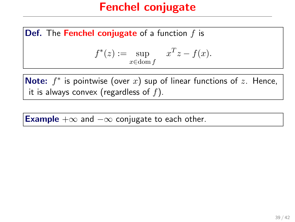**Def.** The Fenchel conjugate of a function  $f$  is

$$
f^*(z) := \sup_{x \in \text{dom } f} x^T z - f(x).
$$

Note:  $f^*$  is pointwise (over x) sup of linear functions of  $z$ . Hence, it is always convex (regardless of  $f$ ).

**Example**  $+\infty$  and  $-\infty$  conjugate to each other.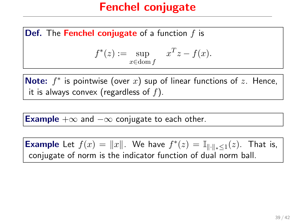**Def.** The Fenchel conjugate of a function  $f$  is

$$
f^*(z) := \sup_{x \in \text{dom } f} x^T z - f(x).
$$

Note:  $f^*$  is pointwise (over x) sup of linear functions of  $z$ . Hence, it is always convex (regardless of  $f$ ).

**Example**  $+\infty$  and  $-\infty$  conjugate to each other.

**Example** Let  $f(x) = ||x||$ . We have  $f^*(z) = \mathbb{I}_{\|\cdot\|_* \leq 1}(z)$ . That is, conjugate of norm is the indicator function of dual norm ball.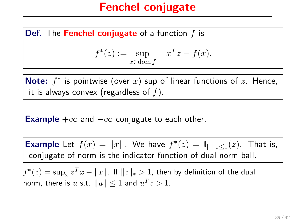**Def.** The Fenchel conjugate of a function  $f$  is

$$
f^*(z) := \sup_{x \in \text{dom } f} x^T z - f(x).
$$

Note:  $f^*$  is pointwise (over x) sup of linear functions of  $z$ . Hence, it is always convex (regardless of  $f$ ).

**Example**  $+\infty$  and  $-\infty$  conjugate to each other.

**Example** Let  $f(x) = ||x||$ . We have  $f^*(z) = \mathbb{I}_{\|\cdot\|_* \leq 1}(z)$ . That is, conjugate of norm is the indicator function of dual norm ball.

 $f^*(z) = \sup_x z^T x - ||x||$ . If  $||z||_* > 1$ , then by definition of the dual norm, there is u s.t.  $||u|| \leq 1$  and  $u^T z > 1$ .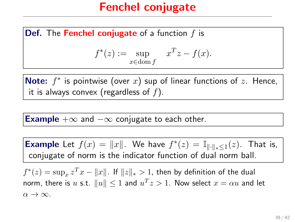**Def.** The Fenchel conjugate of a function  $f$  is

$$
f^*(z) := \sup_{x \in \text{dom } f} x^T z - f(x).
$$

Note:  $f^*$  is pointwise (over x) sup of linear functions of  $z$ . Hence, it is always convex (regardless of  $f$ ).

**Example**  $+\infty$  and  $-\infty$  conjugate to each other.

**Example** Let  $f(x) = ||x||$ . We have  $f^*(z) = \mathbb{I}_{\|\cdot\|_* \leq 1}(z)$ . That is, conjugate of norm is the indicator function of dual norm ball.

 $f^*(z) = \sup_x z^T x - ||x||$ . If  $||z||_* > 1$ , then by definition of the dual norm, there is  $u$  s.t.  $||u|| \leq 1$  and  $u^Tz > 1$ . Now select  $x = \alpha u$  and let  $\alpha \rightarrow \infty$ .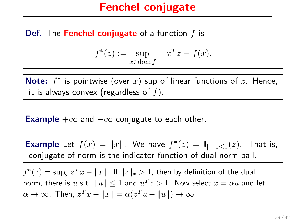**Def.** The Fenchel conjugate of a function  $f$  is

$$
f^*(z) := \sup_{x \in \text{dom } f} x^T z - f(x).
$$

Note:  $f^*$  is pointwise (over x) sup of linear functions of  $z$ . Hence, it is always convex (regardless of  $f$ ).

Example  $+\infty$  and  $-\infty$  conjugate to each other.

**Example** Let  $f(x) = ||x||$ . We have  $f^*(z) = \mathbb{I}_{\|\cdot\|_* \leq 1}(z)$ . That is, conjugate of norm is the indicator function of dual norm ball.

 $f^*(z) = \sup_x z^T x - ||x||$ . If  $||z||_* > 1$ , then by definition of the dual norm, there is u s.t.  $\|u\|\leq 1$  and  $u^Tz>1$ . Now select  $x=\alpha u$  and let  $\alpha \to \infty$ . Then,  $z^T x - ||x|| = \alpha (z^T u - ||u||) \to \infty$ .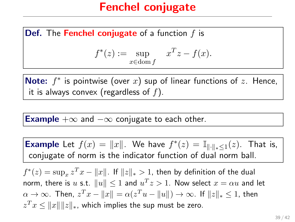**Def.** The Fenchel conjugate of a function  $f$  is

$$
f^*(z) := \sup_{x \in \text{dom } f} x^T z - f(x).
$$

Note:  $f^*$  is pointwise (over x) sup of linear functions of  $z$ . Hence, it is always convex (regardless of  $f$ ).

**Example**  $+\infty$  and  $-\infty$  conjugate to each other.

**Example** Let  $f(x) = ||x||$ . We have  $f^*(z) = \mathbb{I}_{\|\cdot\|_* \leq 1}(z)$ . That is, conjugate of norm is the indicator function of dual norm ball.

 $f^*(z) = \sup_x z^T x - ||x||$ . If  $||z||_* > 1$ , then by definition of the dual norm, there is u s.t.  $\|u\|\leq 1$  and  $u^Tz>1$ . Now select  $x=\alpha u$  and let  $\alpha \rightarrow \infty$ . Then,  $z^T x - \|x\| = \alpha (z^T u - \|u\|) \rightarrow \infty$ . If  $\|z\|_* \leq 1$ , then  $z^T x \leq ||x|| ||z||_*$ , which implies the sup must be zero.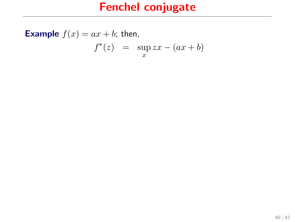**Example** 
$$
f(x) = ax + b
$$
; then,  

$$
f^*(z) = \sup_x zx - (ax + b)
$$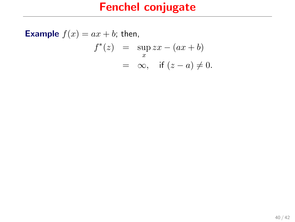**Example**  $f(x) = ax + b$ ; then,  $f^*(z) = \sup$  $\sup_x zx - (ax + b)$  $= \infty$ , if  $(z - a) \neq 0$ .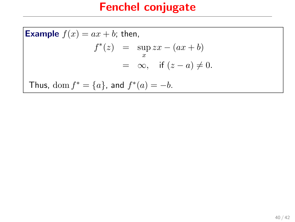**Example** 
$$
f(x) = ax + b
$$
; then,  
\n
$$
f^*(z) = \sup_x zx - (ax + b)
$$
\n
$$
= \infty, \text{ if } (z - a) \neq 0.
$$
\nThus, dom  $f^* = \{a\}$ , and  $f^*(a) = -b$ .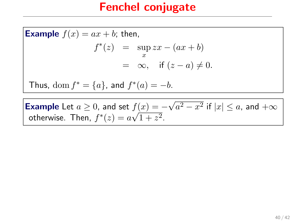**Example**  $f(x) = ax + b$ ; then,  $f^*(z) = \sup$  $\sup_x zx - (ax + b)$  $= \infty$ , if  $(z - a) \neq 0$ . Thus,  $\text{dom } f^* = \{a\}$ , and  $f^*(a) = -b$ .

**Example** Let  $a \ge 0$ , and set  $f(x) = -\sqrt{a^2 - x^2}$  if  $|x| \le a$ , and  $+\infty$ otherwise. Then,  $f^*(z) = a\sqrt{1+z^2}$ .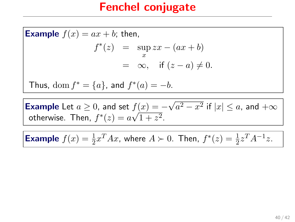**Example**  $f(x) = ax + b$ ; then,  $f^*(z) = \sup_{x} zx - (ax + b)$ x  $= \infty$ , if  $(z - a) \neq 0$ . Thus,  $\text{dom } f^* = \{a\}$ , and  $f^*(a) = -b$ .

**Example** Let  $a \ge 0$ , and set  $f(x) = -\sqrt{a^2 - x^2}$  if  $|x| \le a$ , and  $+\infty$ otherwise. Then,  $f^*(z) = a\sqrt{1+z^2}$ .

**Example**  $f(x) = \frac{1}{2}x^T A x$ , where  $A \succ 0$ . Then,  $f^*(z) = \frac{1}{2}z^T A^{-1} z$ .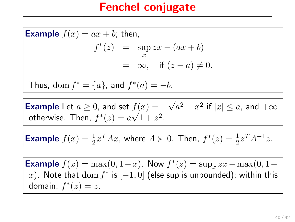**Example**  $f(x) = ax + b$ ; then,  $f^*(z) = \sup_{x} zx - (ax + b)$ x  $= \infty$ , if  $(z - a) \neq 0$ . Thus,  $\text{dom } f^* = \{a\}$ , and  $f^*(a) = -b$ .

**Example** Let  $a \ge 0$ , and set  $f(x) = -\sqrt{a^2 - x^2}$  if  $|x| \le a$ , and  $+\infty$ otherwise. Then,  $f^*(z) = a\sqrt{1+z^2}$ .

**Example**  $f(x) = \frac{1}{2}x^T A x$ , where  $A \succ 0$ . Then,  $f^*(z) = \frac{1}{2}z^T A^{-1} z$ .

**Example**  $f(x) = \max(0, 1-x)$ . Now  $f^*(z) = \sup_x zx - \max(0, 1-x)$ . x). Note that  $\text{dom } f^*$  is  $[-1,0]$  (else sup is unbounded); within this domain,  $f^*(z) = z$ .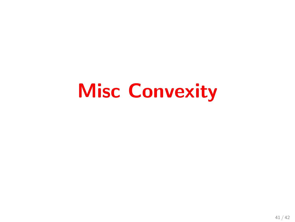# Misc Convexity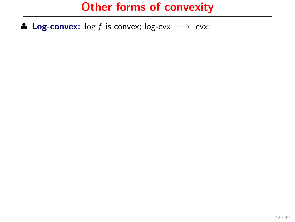**↓ Log-convex:**  $\log f$  is convex;  $\log$ -cvx  $\implies$  cvx;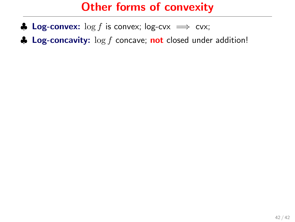- **↓ Log-convex:**  $\log f$  is convex;  $\log$ -cvx  $\implies$  cvx;
- $\clubsuit$  Log-concavity:  $\log f$  concave; not closed under addition!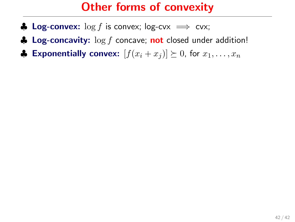- **♦ Log-convex:**  $\log f$  is convex;  $\log$ -cvx  $\implies$  cvx;
- $\triangle$  Log-concavity:  $\log f$  concave; not closed under addition!
- ♦ Exponentially convex:  $[f(x_i + x_j)] \succeq 0$ , for  $x_1, \ldots, x_n$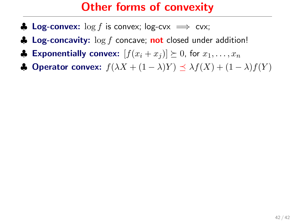- **↓ Log-convex:**  $\log f$  is convex;  $\log$ -cvx  $\implies$  cvx;
- $\clubsuit$  Log-concavity:  $\log f$  concave; not closed under addition!
- ♦ Exponentially convex:  $[f(x_i + x_j)] \succeq 0$ , for  $x_1, \ldots, x_n$
- $\bullet$  Operator convex:  $f(\lambda X + (1 \lambda)Y) \preceq \lambda f(X) + (1 \lambda)f(Y)$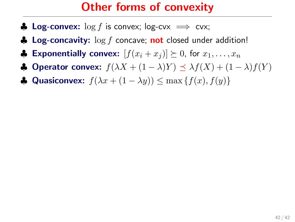- **A** Log-convex:  $\log f$  is convex;  $\log$ -cvx  $\implies$  cvx;
- $\clubsuit$  Log-concavity:  $\log f$  concave; not closed under addition!
- $\clubsuit$  Exponentially convex:  $[f(x_i + x_j)] \succeq 0$ , for  $x_1, \ldots, x_n$
- $\bullet$  Operator convex:  $f(\lambda X + (1 \lambda)Y) \prec \lambda f(X) + (1 \lambda)f(Y)$
- $\bigoplus$  Quasiconvex:  $f(\lambda x + (1 \lambda y)) \leq \max\{f(x), f(y)\}\$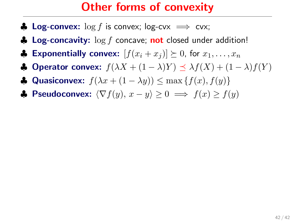- **A** Log-convex:  $\log f$  is convex;  $\log$ -cvx  $\implies$  cvx;
- $\clubsuit$  Log-concavity:  $\log f$  concave; not closed under addition!
- $\clubsuit$  Exponentially convex:  $[f(x_i + x_j)] \succeq 0$ , for  $x_1, \ldots, x_n$
- $\bullet$  Operator convex:  $f(\lambda X + (1 \lambda)Y) \preceq \lambda f(X) + (1 \lambda) f(Y)$
- $\bullet$  Quasiconvex:  $f(\lambda x + (1 \lambda y))$  < max {  $f(x)$ ,  $f(y)$  }
- $\bullet$  Pseudoconvex:  $\langle \nabla f(y), x y \rangle > 0 \implies f(x) > f(y)$